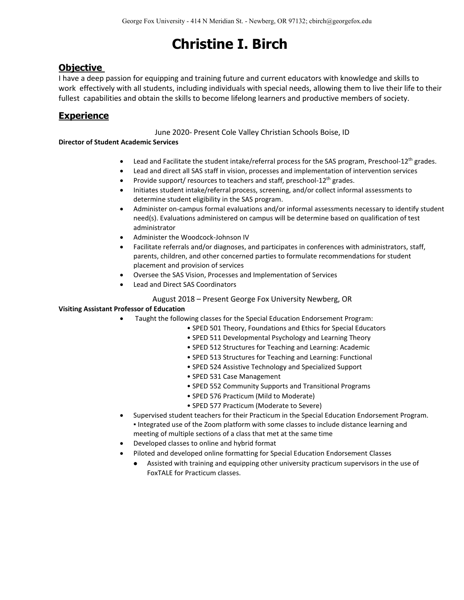# **Objective**

I have a deep passion for equipping and training future and current educators with knowledge and skills to work effectively with all students, including individuals with special needs, allowing them to live their life to their fullest capabilities and obtain the skills to become lifelong learners and productive members of society.

# **Experience**

June 2020- Present Cole Valley Christian Schools Boise, ID

## **Director of Student Academic Services**

- Lead and Facilitate the student intake/referral process for the SAS program, Preschool-12<sup>th</sup> grades.
- Lead and direct all SAS staff in vision, processes and implementation of intervention services
- Provide support/ resources to teachers and staff, preschool- $12<sup>th</sup>$  grades.
- Initiates student intake/referral process, screening, and/or collect informal assessments to determine student eligibility in the SAS program.
- Administer on-campus formal evaluations and/or informal assessments necessary to identify student need(s). Evaluations administered on campus will be determine based on qualification of test administrator
- Administer the Woodcock-Johnson IV
- Facilitate referrals and/or diagnoses, and participates in conferences with administrators, staff, parents, children, and other concerned parties to formulate recommendations for student placement and provision of services
- Oversee the SAS Vision, Processes and Implementation of Services
- Lead and Direct SAS Coordinators

### August 2018 – Present George Fox University Newberg, OR

### **Visiting Assistant Professor of Education**

- Taught the following classes for the Special Education Endorsement Program:
	- SPED 501 Theory, Foundations and Ethics for Special Educators
	- SPED 511 Developmental Psychology and Learning Theory
	- SPED 512 Structures for Teaching and Learning: Academic
	- SPED 513 Structures for Teaching and Learning: Functional
	- SPED 524 Assistive Technology and Specialized Support
	- SPED 531 Case Management
	- SPED 552 Community Supports and Transitional Programs
	- SPED 576 Practicum (Mild to Moderate)
	- SPED 577 Practicum (Moderate to Severe)
- Supervised student teachers for their Practicum in the Special Education Endorsement Program. ▪ Integrated use of the Zoom platform with some classes to include distance learning and meeting of multiple sections of a class that met at the same time
- Developed classes to online and hybrid format
- Piloted and developed online formatting for Special Education Endorsement Classes
	- Assisted with training and equipping other university practicum supervisors in the use of FoxTALE for Practicum classes.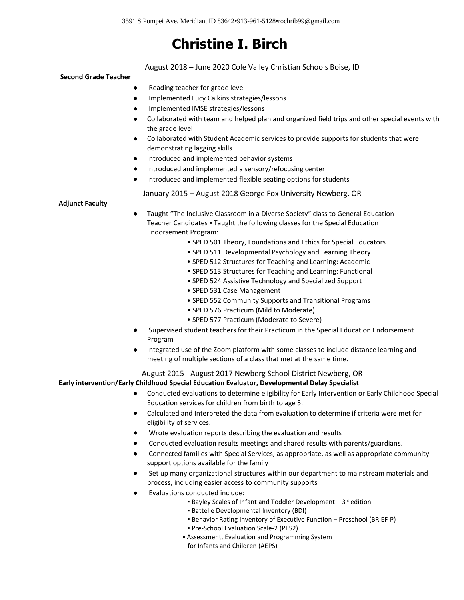August 2018 – June 2020 Cole Valley Christian Schools Boise, ID

#### **Second Grade Teacher**

- Reading teacher for grade level
- Implemented Lucy Calkins strategies/lessons
- Implemented IMSE strategies/lessons
- Collaborated with team and helped plan and organized field trips and other special events with the grade level
- Collaborated with Student Academic services to provide supports for students that were demonstrating lagging skills
- Introduced and implemented behavior systems
- Introduced and implemented a sensory/refocusing center
- Introduced and implemented flexible seating options for students

January 2015 – August 2018 George Fox University Newberg, OR

#### **Adjunct Faculty**

• Taught "The Inclusive Classroom in a Diverse Society" class to General Education Teacher Candidates ▪ Taught the following classes for the Special Education Endorsement Program:

- SPED 501 Theory, Foundations and Ethics for Special Educators
- SPED 511 Developmental Psychology and Learning Theory
- SPED 512 Structures for Teaching and Learning: Academic
- SPED 513 Structures for Teaching and Learning: Functional
- SPED 524 Assistive Technology and Specialized Support
- SPED 531 Case Management
- SPED 552 Community Supports and Transitional Programs
- SPED 576 Practicum (Mild to Moderate)
- SPED 577 Practicum (Moderate to Severe)
- Supervised student teachers for their Practicum in the Special Education Endorsement Program
- Integrated use of the Zoom platform with some classes to include distance learning and meeting of multiple sections of a class that met at the same time.

## August 2015 - August 2017 Newberg School District Newberg, OR

#### **Early intervention/Early Childhood Special Education Evaluator, Developmental Delay Specialist**

- Conducted evaluations to determine eligibility for Early Intervention or Early Childhood Special Education services for children from birth to age 5.
- Calculated and Interpreted the data from evaluation to determine if criteria were met for eligibility of services.
- Wrote evaluation reports describing the evaluation and results
- Conducted evaluation results meetings and shared results with parents/guardians.
- Connected families with Special Services, as appropriate, as well as appropriate community support options available for the family
- Set up many organizational structures within our department to mainstream materials and process, including easier access to community supports
- Evaluations conducted include:
	- Bayley Scales of Infant and Toddler Development 3<sup>rd</sup> edition
	- Battelle Developmental Inventory (BDI)
	- Behavior Rating Inventory of Executive Function Preschool (BRIEF-P)
	- Pre-School Evaluation Scale-2 (PES2)
	- **Assessment, Evaluation and Programming System** for Infants and Children (AEPS)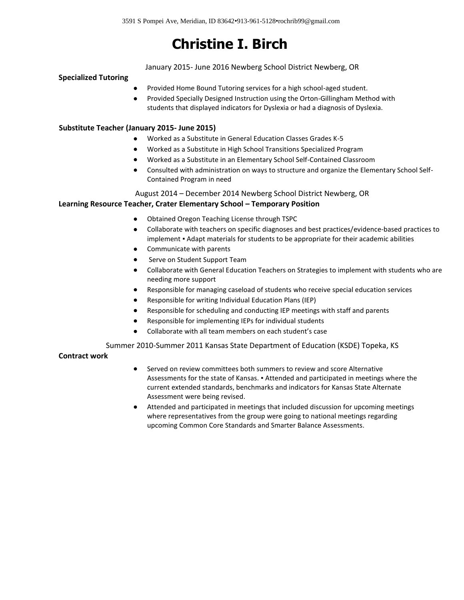January 2015- June 2016 Newberg School District Newberg, OR

#### **Specialized Tutoring**

- Provided Home Bound Tutoring services for a high school-aged student.
- Provided Specially Designed Instruction using the Orton-Gillingham Method with students that displayed indicators for Dyslexia or had a diagnosis of Dyslexia.

#### **Substitute Teacher (January 2015- June 2015)**

- Worked as a Substitute in General Education Classes Grades K-5
- Worked as a Substitute in High School Transitions Specialized Program
- Worked as a Substitute in an Elementary School Self-Contained Classroom
- Consulted with administration on ways to structure and organize the Elementary School Self-Contained Program in need

### August 2014 – December 2014 Newberg School District Newberg, OR

### **Learning Resource Teacher, Crater Elementary School - Temporary Position**

- Obtained Oregon Teaching License through TSPC
- Collaborate with teachers on specific diagnoses and best practices/evidence-based practices to implement . Adapt materials for students to be appropriate for their academic abilities
- Communicate with parents
- Serve on Student Support Team
- Collaborate with General Education Teachers on Strategies to implement with students who are needing more support
- Responsible for managing caseload of students who receive special education services
- Responsible for writing Individual Education Plans (IEP)
- Responsible for scheduling and conducting IEP meetings with staff and parents
- Responsible for implementing IEPs for individual students
- Collaborate with all team members on each student's case

Summer 2010-Summer 2011 Kansas State Department of Education (KSDE) Topeka, KS

#### **Contract work**

- Served on review committees both summers to review and score Alternative Assessments for the state of Kansas. ▪ Attended and participated in meetings where the current extended standards, benchmarks and indicators for Kansas State Alternate Assessment were being revised.
- Attended and participated in meetings that included discussion for upcoming meetings where representatives from the group were going to national meetings regarding upcoming Common Core Standards and Smarter Balance Assessments.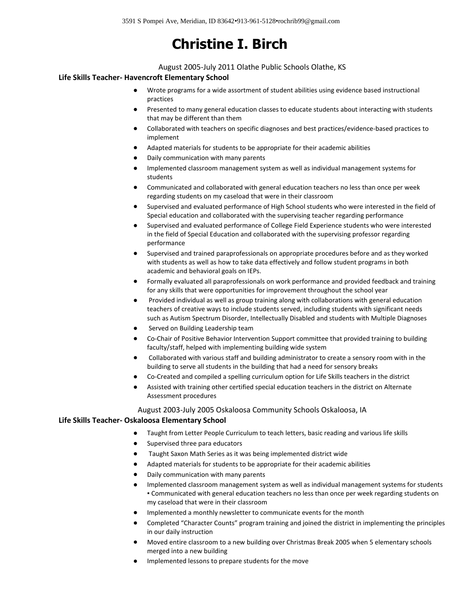#### August 2005-July 2011 Olathe Public Schools Olathe, KS

#### **Life Skills Teacher- Havencroft Elementary School**

- Wrote programs for a wide assortment of student abilities using evidence based instructional practices
- Presented to many general education classes to educate students about interacting with students that may be different than them
- Collaborated with teachers on specific diagnoses and best practices/evidence-based practices to implement
- Adapted materials for students to be appropriate for their academic abilities
- Daily communication with many parents
- Implemented classroom management system as well as individual management systems for students
- Communicated and collaborated with general education teachers no less than once per week regarding students on my caseload that were in their classroom
- Supervised and evaluated performance of High School students who were interested in the field of Special education and collaborated with the supervising teacher regarding performance
- Supervised and evaluated performance of College Field Experience students who were interested in the field of Special Education and collaborated with the supervising professor regarding performance
- Supervised and trained paraprofessionals on appropriate procedures before and as they worked with students as well as how to take data effectively and follow student programs in both academic and behavioral goals on IEPs.
- Formally evaluated all paraprofessionals on work performance and provided feedback and training for any skills that were opportunities for improvement throughout the school year
- Provided individual as well as group training along with collaborations with general education teachers of creative ways to include students served, including students with significant needs such as Autism Spectrum Disorder, Intellectually Disabled and students with Multiple Diagnoses
- Served on Building Leadership team
- Co-Chair of Positive Behavior Intervention Support committee that provided training to building faculty/staff, helped with implementing building wide system
- Collaborated with various staff and building administrator to create a sensory room with in the building to serve all students in the building that had a need for sensory breaks
- Co-Created and compiled a spelling curriculum option for Life Skills teachers in the district
- Assisted with training other certified special education teachers in the district on Alternate Assessment procedures

#### August 2003-July 2005 Oskaloosa Community Schools Oskaloosa, IA

#### **Life Skills Teacher- Oskaloosa Elementary School**

- Taught from Letter People Curriculum to teach letters, basic reading and various life skills
- Supervised three para educators
- Taught Saxon Math Series as it was being implemented district wide
- Adapted materials for students to be appropriate for their academic abilities
- Daily communication with many parents
- Implemented classroom management system as well as individual management systems for students ▪ Communicated with general education teachers no less than once per week regarding students on my caseload that were in their classroom
- Implemented a monthly newsletter to communicate events for the month
- Completed "Character Counts" program training and joined the district in implementing the principles in our daily instruction
- Moved entire classroom to a new building over Christmas Break 2005 when 5 elementary schools merged into a new building
- Implemented lessons to prepare students for the move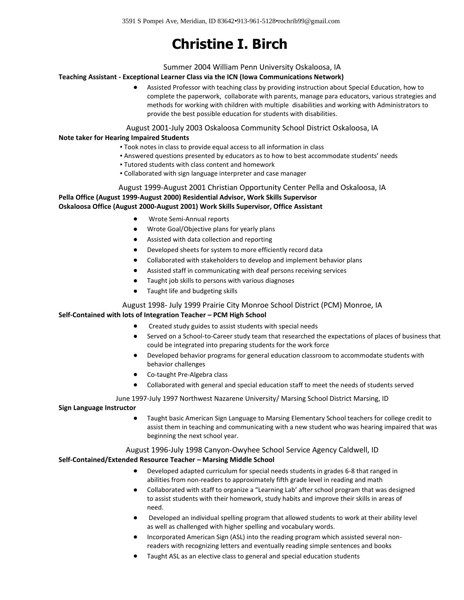#### Summer 2004 William Penn University Oskaloosa, IA

#### **Teaching Assistant - Exceptional Learner Class via the ICN (Iowa Communications Network)**

• Assisted Professor with teaching class by providing instruction about Special Education, how to complete the paperwork, collaborate with parents, manage para educators, various strategies and methods for working with children with multiple disabilities and working with Administrators to provide the best possible education for students with disabilities.

#### August 2001-July 2003 Oskaloosa Community School District Oskaloosa, IA

#### **Note taker for Hearing Impaired Students**

- Took notes in class to provide equal access to all information in class
- Answered questions presented by educators as to how to best accommodate students' needs
- Tutored students with class content and homework
- Collaborated with sign language interpreter and case manager

#### August 1999-August 2001 Christian Opportunity Center Pella and Oskaloosa, IA

**Pella Office (August 1999-August 2000) Residential Advisor, Work Skills Supervisor Oskaloosa Office (August 2000-August 2001) Work Skills Supervisor, Office Assistant**

- Wrote Semi-Annual reports
- Wrote Goal/Objective plans for yearly plans
- Assisted with data collection and reporting
- Developed sheets for system to more efficiently record data
- Collaborated with stakeholders to develop and implement behavior plans
- Assisted staff in communicating with deaf persons receiving services
- Taught job skills to persons with various diagnoses
- Taught life and budgeting skills

#### August 1998- July 1999 Prairie City Monroe School District (PCM) Monroe, IA

#### **Self-Contained with lots of Integration Teacher – PCM High School**

- Created study guides to assist students with special needs
- Served on a School-to-Career study team that researched the expectations of places of business that could be integrated into preparing students for the work force
- Developed behavior programs for general education classroom to accommodate students with behavior challenges
- Co-taught Pre-Algebra class
- Collaborated with general and special education staff to meet the needs of students served

#### June 1997-July 1997 Northwest Nazarene University/ Marsing School District Marsing, ID

#### **Sign Language Instructor**

• Taught basic American Sign Language to Marsing Elementary School teachers for college credit to assist them in teaching and communicating with a new student who was hearing impaired that was beginning the next school year.

#### August 1996-July 1998 Canyon-Owyhee School Service Agency Caldwell, ID

#### **Self-Contained/Extended Resource Teacher – Marsing Middle School**

- Developed adapted curriculum for special needs students in grades 6-8 that ranged in abilities from non-readers to approximately fifth grade level in reading and math
- Collaborated with staff to organize a "Learning Lab' after school program that was designed to assist students with their homework, study habits and improve their skills in areas of need.
- Developed an individual spelling program that allowed students to work at their ability level as well as challenged with higher spelling and vocabulary words.
- Incorporated American Sign (ASL) into the reading program which assisted several nonreaders with recognizing letters and eventually reading simple sentences and books
- Taught ASL as an elective class to general and special education students